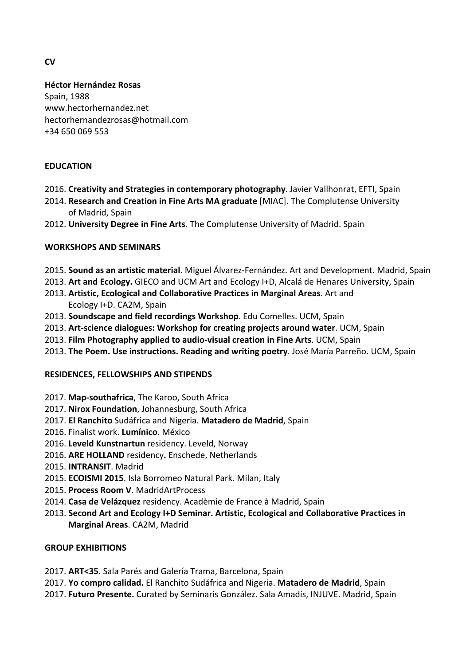**CV**

# **Héctor Hernández Rosas**

Spain, 1988 www.hectorhernandez.net hectorhernandezrosas@hotmail.com +34 650 069 553

# **EDUCATION**

- 2016. Creativity and Strategies in contemporary photography. Javier Vallhonrat, EFTI, Spain
- 2014. Research and Creation in Fine Arts MA graduate [MIAC]. The Complutense University of Madrid, Spain
- 2012. **University Degree in Fine Arts**. The Complutense University of Madrid. Spain

# **WORKSHOPS AND SEMINARS**

- 2015. **Sound as an artistic material**. Miguel Álvarez-Fernández. Art and Development. Madrid, Spain
- 2013. Art and Ecology. GIECO and UCM Art and Ecology I+D, Alcalá de Henares University, Spain
- 2013. Artistic, Ecological and Collaborative Practices in Marginal Areas. Art and Ecology I+D. CA2M, Spain
- **2013. Soundscape and field recordings Workshop**. Edu Comelles. UCM, Spain
- 2013. Art-science dialogues: Workshop for creating projects around water. UCM, Spain
- 2013. Film Photography applied to audio-visual creation in Fine Arts. UCM, Spain
- 2013. The Poem. Use instructions. Reading and writing poetry. José María Parreño. UCM, Spain

## **RESIDENCES, FELLOWSHIPS AND STIPENDS**

- 2017. Map-southafrica, The Karoo, South Africa
- 2017. Nirox Foundation, Johannesburg, South Africa
- 2017. **El Ranchito** Sudáfrica and Nigeria. **Matadero de Madrid**, Spain
- 2016. Finalist work. **Lumínico**. México
- 2016. Leveld Kunstnartun residency. Leveld, Norway
- 2016. ARE HOLLAND residency. Enschede, Netherlands
- 2015. **INTRANSIT**. Madrid
- 2015. **ECOISMI 2015**. Isla Borromeo Natural Park. Milan, Italy
- 2015. **Process Room V**. MadridArtProcess
- 2014. Casa de Velázquez residency. Acadèmie de France à Madrid, Spain
- 2013. Second Art and Ecology I+D Seminar. Artistic, Ecological and Collaborative Practices in **Marginal Areas**. CA2M, Madrid

## **GROUP EXHIBITIONS**

- 2017. **ART<35**. Sala Parés and Galería Trama, Barcelona, Spain
- 2017. Yo compro calidad. El Ranchito Sudáfrica and Nigeria. Matadero de Madrid, Spain
- 2017. **Futuro Presente.** Curated by Seminaris González. Sala Amadís, INJUVE. Madrid, Spain